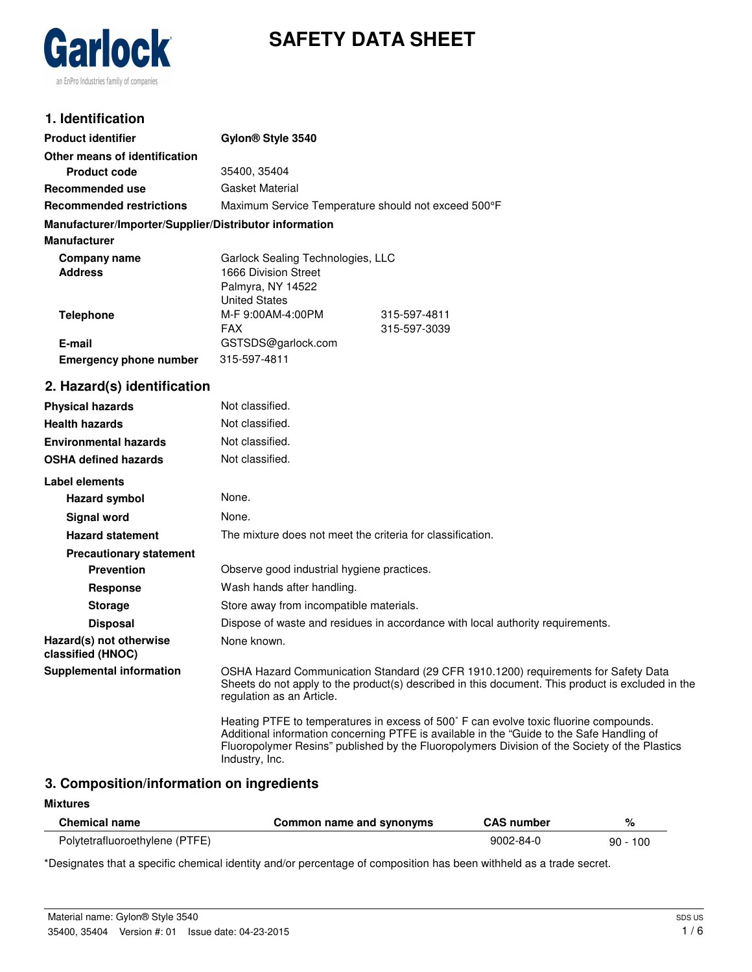



## **1. Identification**

| <b>Product identifier</b>                              | Gylon <sup>®</sup> Style 3540                       |              |
|--------------------------------------------------------|-----------------------------------------------------|--------------|
| Other means of identification                          |                                                     |              |
| <b>Product code</b>                                    | 35400, 35404                                        |              |
| <b>Recommended use</b>                                 | Gasket Material                                     |              |
| <b>Recommended restrictions</b>                        | Maximum Service Temperature should not exceed 500°F |              |
| Manufacturer/Importer/Supplier/Distributor information |                                                     |              |
| <b>Manufacturer</b>                                    |                                                     |              |
| Company name                                           | Garlock Sealing Technologies, LLC                   |              |
| <b>Address</b>                                         | 1666 Division Street                                |              |
|                                                        | Palmyra, NY 14522                                   |              |
|                                                        | <b>United States</b>                                |              |
| <b>Telephone</b>                                       | M-F 9:00AM-4:00PM                                   | 315-597-4811 |
|                                                        | <b>FAX</b>                                          | 315-597-3039 |
| E-mail                                                 | GSTSDS@garlock.com                                  |              |
| <b>Emergency phone number</b>                          | 315-597-4811                                        |              |
| 2. Hazard(s) identification                            |                                                     |              |
| <b>Physical hazards</b>                                | Not classified.                                     |              |
| <b>Health hazards</b>                                  | Not classified.                                     |              |
| <b>Environmental hazards</b>                           | Not classified.                                     |              |

| <b>OSHA defined hazards</b>                  | Not classified.                                                                                                                                                                                                                                                                                       |
|----------------------------------------------|-------------------------------------------------------------------------------------------------------------------------------------------------------------------------------------------------------------------------------------------------------------------------------------------------------|
| Label elements                               |                                                                                                                                                                                                                                                                                                       |
| <b>Hazard symbol</b>                         | None.                                                                                                                                                                                                                                                                                                 |
| Signal word                                  | None.                                                                                                                                                                                                                                                                                                 |
| <b>Hazard statement</b>                      | The mixture does not meet the criteria for classification.                                                                                                                                                                                                                                            |
| <b>Precautionary statement</b>               |                                                                                                                                                                                                                                                                                                       |
| <b>Prevention</b>                            | Observe good industrial hygiene practices.                                                                                                                                                                                                                                                            |
| Response                                     | Wash hands after handling.                                                                                                                                                                                                                                                                            |
| <b>Storage</b>                               | Store away from incompatible materials.                                                                                                                                                                                                                                                               |
| <b>Disposal</b>                              | Dispose of waste and residues in accordance with local authority requirements.                                                                                                                                                                                                                        |
| Hazard(s) not otherwise<br>classified (HNOC) | None known.                                                                                                                                                                                                                                                                                           |
| <b>Supplemental information</b>              | OSHA Hazard Communication Standard (29 CFR 1910.1200) requirements for Safety Data<br>Sheets do not apply to the product(s) described in this document. This product is excluded in the<br>regulation as an Article.                                                                                  |
|                                              | Heating PTFE to temperatures in excess of 500° F can evolve toxic fluorine compounds.<br>Additional information concerning PTFE is available in the "Guide to the Safe Handling of<br>Fluoropolymer Resins" published by the Fluoropolymers Division of the Society of the Plastics<br>Industry, Inc. |

# **3. Composition/information on ingredients**

#### **Mixtures**

| <b>Chemical name</b>           | Common name and synonyms | <b>CAS number</b> |            |
|--------------------------------|--------------------------|-------------------|------------|
| Polytetrafluoroethylene (PTFE) |                          | $9002 - 84 - 0$   | $90 - 100$ |

\*Designates that a specific chemical identity and/or percentage of composition has been withheld as a trade secret.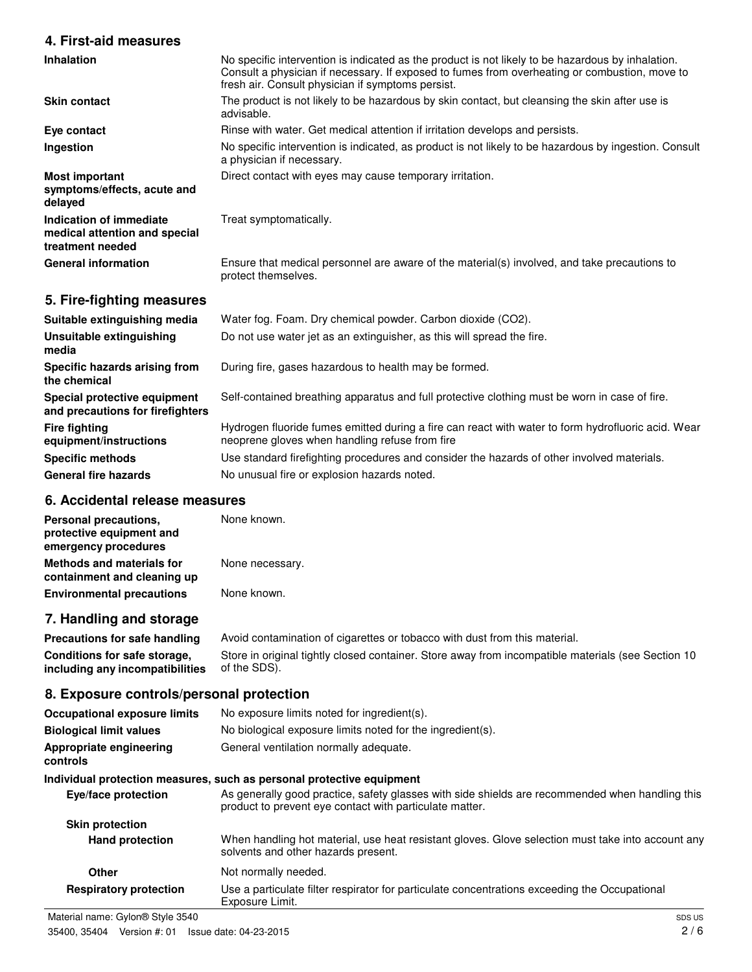## **4. First-aid measures**

| Inhalation                                                                   | No specific intervention is indicated as the product is not likely to be hazardous by inhalation.<br>Consult a physician if necessary. If exposed to fumes from overheating or combustion, move to<br>fresh air. Consult physician if symptoms persist. |
|------------------------------------------------------------------------------|---------------------------------------------------------------------------------------------------------------------------------------------------------------------------------------------------------------------------------------------------------|
| <b>Skin contact</b>                                                          | The product is not likely to be hazardous by skin contact, but cleansing the skin after use is<br>advisable.                                                                                                                                            |
| Eye contact                                                                  | Rinse with water. Get medical attention if irritation develops and persists.                                                                                                                                                                            |
| Ingestion                                                                    | No specific intervention is indicated, as product is not likely to be hazardous by ingestion. Consult<br>a physician if necessary.                                                                                                                      |
| <b>Most important</b><br>symptoms/effects, acute and<br>delayed              | Direct contact with eyes may cause temporary irritation.                                                                                                                                                                                                |
| Indication of immediate<br>medical attention and special<br>treatment needed | Treat symptomatically.                                                                                                                                                                                                                                  |
| <b>General information</b>                                                   | Ensure that medical personnel are aware of the material(s) involved, and take precautions to<br>protect themselves.                                                                                                                                     |
| 5. Fire-fighting measures                                                    |                                                                                                                                                                                                                                                         |
| Suitable extinguishing media                                                 | Water fog. Foam. Dry chemical powder. Carbon dioxide (CO2).                                                                                                                                                                                             |
| Unsuitable extinguishing<br>media                                            | Do not use water jet as an extinguisher, as this will spread the fire.                                                                                                                                                                                  |
| Specific hazards arising from<br>the chemical                                | During fire, gases hazardous to health may be formed.                                                                                                                                                                                                   |
| Special protective equipment                                                 | Self-contained breathing apparatus and full protective clothing must be worn in case of fire.                                                                                                                                                           |

**and precautions for firefighters** Self-contained breathing apparatus and full protective clothing must be worn in case of fire.

> Hydrogen fluoride fumes emitted during a fire can react with water to form hydrofluoric acid. Wear neoprene gloves when handling refuse from fire

**Specific methods** Use standard firefighting procedures and consider the hazards of other involved materials.

General fire hazards **No unusual fire or explosion hazards noted.** 

## **6. Accidental release measures**

**Fire fighting**

**equipment/instructions**

| Personal precautions,<br>protective equipment and<br>emergency procedures | None known.     |
|---------------------------------------------------------------------------|-----------------|
| <b>Methods and materials for</b><br>containment and cleaning up           | None necessary. |
| <b>Environmental precautions</b>                                          | None known.     |

## **7. Handling and storage**

**Precautions for safe handling** Avoid contamination of cigarettes or tobacco with dust from this material. **Conditions for safe storage, including any incompatibilities** Store in original tightly closed container. Store away from incompatible materials (see Section 10 of the SDS).

### **8. Exposure controls/personal protection**

| <b>Occupational exposure limits</b> | No exposure limits noted for ingredient(s).                                                                                                                |
|-------------------------------------|------------------------------------------------------------------------------------------------------------------------------------------------------------|
| <b>Biological limit values</b>      | No biological exposure limits noted for the ingredient(s).                                                                                                 |
| Appropriate engineering<br>controls | General ventilation normally adequate.                                                                                                                     |
|                                     | Individual protection measures, such as personal protective equipment                                                                                      |
| Eye/face protection                 | As generally good practice, safety glasses with side shields are recommended when handling this<br>product to prevent eye contact with particulate matter. |
| <b>Skin protection</b>              |                                                                                                                                                            |
| <b>Hand protection</b>              | When handling hot material, use heat resistant gloves. Glove selection must take into account any<br>solvents and other hazards present.                   |
| Other                               | Not normally needed.                                                                                                                                       |
| <b>Respiratory protection</b>       | Use a particulate filter respirator for particulate concentrations exceeding the Occupational<br>Exposure Limit.                                           |
| Material name: Gylon® Style 3540    | SDS US                                                                                                                                                     |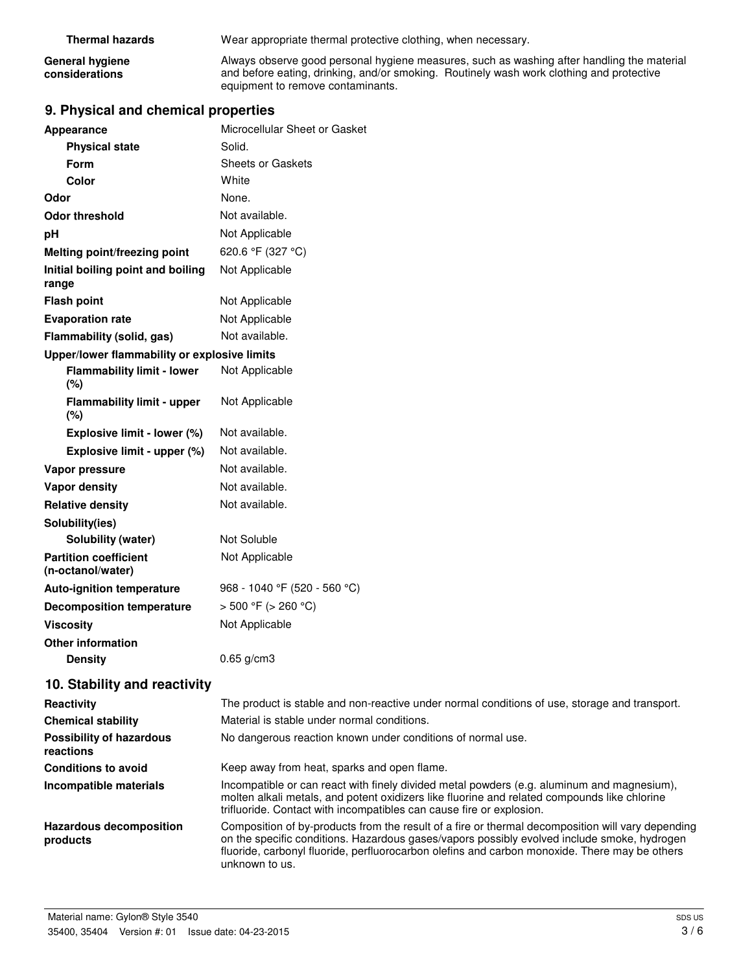**Thermal hazards** Wear appropriate thermal protective clothing, when necessary.

**General hygiene considerations**

Always observe good personal hygiene measures, such as washing after handling the material and before eating, drinking, and/or smoking. Routinely wash work clothing and protective equipment to remove contaminants.

## **9. Physical and chemical properties**

| Appearance                                        | Microcellular Sheet or Gasket                                                                                                                                                                                                                                                                     |
|---------------------------------------------------|---------------------------------------------------------------------------------------------------------------------------------------------------------------------------------------------------------------------------------------------------------------------------------------------------|
| <b>Physical state</b>                             | Solid.                                                                                                                                                                                                                                                                                            |
| <b>Form</b>                                       | <b>Sheets or Gaskets</b>                                                                                                                                                                                                                                                                          |
| Color                                             | White                                                                                                                                                                                                                                                                                             |
| Odor                                              | None.                                                                                                                                                                                                                                                                                             |
| <b>Odor threshold</b>                             | Not available.                                                                                                                                                                                                                                                                                    |
| pH                                                | Not Applicable                                                                                                                                                                                                                                                                                    |
| Melting point/freezing point                      | 620.6 °F (327 °C)                                                                                                                                                                                                                                                                                 |
| Initial boiling point and boiling<br>range        | Not Applicable                                                                                                                                                                                                                                                                                    |
| <b>Flash point</b>                                | Not Applicable                                                                                                                                                                                                                                                                                    |
| <b>Evaporation rate</b>                           | Not Applicable                                                                                                                                                                                                                                                                                    |
| Flammability (solid, gas)                         | Not available.                                                                                                                                                                                                                                                                                    |
| Upper/lower flammability or explosive limits      |                                                                                                                                                                                                                                                                                                   |
| <b>Flammability limit - lower</b><br>$(\%)$       | Not Applicable                                                                                                                                                                                                                                                                                    |
| <b>Flammability limit - upper</b><br>$(\% )$      | Not Applicable                                                                                                                                                                                                                                                                                    |
| Explosive limit - lower (%)                       | Not available.                                                                                                                                                                                                                                                                                    |
| Explosive limit - upper (%)                       | Not available.                                                                                                                                                                                                                                                                                    |
| Vapor pressure                                    | Not available.                                                                                                                                                                                                                                                                                    |
| Vapor density                                     | Not available.                                                                                                                                                                                                                                                                                    |
| <b>Relative density</b>                           | Not available.                                                                                                                                                                                                                                                                                    |
| Solubility(ies)                                   |                                                                                                                                                                                                                                                                                                   |
| <b>Solubility (water)</b>                         | Not Soluble                                                                                                                                                                                                                                                                                       |
| <b>Partition coefficient</b><br>(n-octanol/water) | Not Applicable                                                                                                                                                                                                                                                                                    |
| Auto-ignition temperature                         | 968 - 1040 °F (520 - 560 °C)                                                                                                                                                                                                                                                                      |
| <b>Decomposition temperature</b>                  | $> 500 °F$ ( $> 260 °C$ )                                                                                                                                                                                                                                                                         |
| <b>Viscosity</b>                                  | Not Applicable                                                                                                                                                                                                                                                                                    |
| <b>Other information</b>                          |                                                                                                                                                                                                                                                                                                   |
| <b>Density</b>                                    | $0.65$ g/cm3                                                                                                                                                                                                                                                                                      |
| 10. Stability and reactivity                      |                                                                                                                                                                                                                                                                                                   |
| Reactivity                                        | The product is stable and non-reactive under normal conditions of use, storage and transport.                                                                                                                                                                                                     |
| <b>Chemical stability</b>                         | Material is stable under normal conditions.                                                                                                                                                                                                                                                       |
| <b>Possibility of hazardous</b><br>reactions      | No dangerous reaction known under conditions of normal use.                                                                                                                                                                                                                                       |
| <b>Conditions to avoid</b>                        | Keep away from heat, sparks and open flame.                                                                                                                                                                                                                                                       |
| Incompatible materials                            | Incompatible or can react with finely divided metal powders (e.g. aluminum and magnesium),<br>molten alkali metals, and potent oxidizers like fluorine and related compounds like chlorine<br>trifluoride. Contact with incompatibles can cause fire or explosion.                                |
| <b>Hazardous decomposition</b><br>products        | Composition of by-products from the result of a fire or thermal decomposition will vary depending<br>on the specific conditions. Hazardous gases/vapors possibly evolved include smoke, hydrogen<br>fluoride, carbonyl fluoride, perfluorocarbon olefins and carbon monoxide. There may be others |

unknown to us.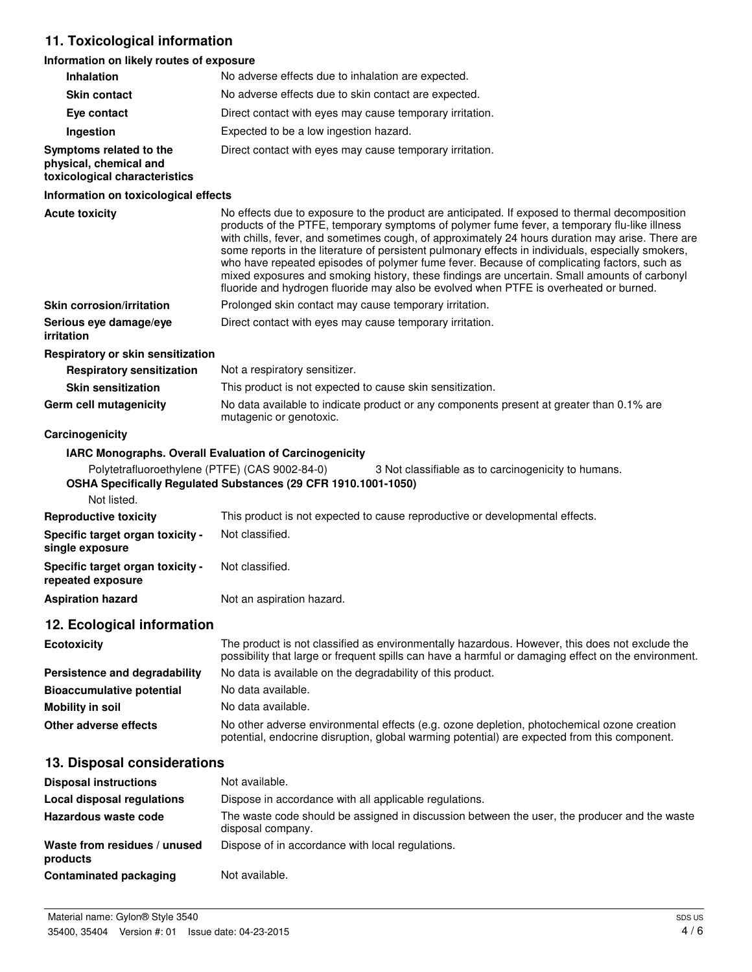# **11. Toxicological information**

### **Information on likely routes of exposure**

| <b>Inhalation</b>                                                                  | No adverse effects due to inhalation are expected.                                                                                                                                                                                                                                                                                                                                                                                                                                                                                                                                                                                                                                              |
|------------------------------------------------------------------------------------|-------------------------------------------------------------------------------------------------------------------------------------------------------------------------------------------------------------------------------------------------------------------------------------------------------------------------------------------------------------------------------------------------------------------------------------------------------------------------------------------------------------------------------------------------------------------------------------------------------------------------------------------------------------------------------------------------|
| <b>Skin contact</b>                                                                | No adverse effects due to skin contact are expected.                                                                                                                                                                                                                                                                                                                                                                                                                                                                                                                                                                                                                                            |
| Eye contact                                                                        | Direct contact with eyes may cause temporary irritation.                                                                                                                                                                                                                                                                                                                                                                                                                                                                                                                                                                                                                                        |
| Ingestion                                                                          | Expected to be a low ingestion hazard.                                                                                                                                                                                                                                                                                                                                                                                                                                                                                                                                                                                                                                                          |
| Symptoms related to the<br>physical, chemical and<br>toxicological characteristics | Direct contact with eyes may cause temporary irritation.                                                                                                                                                                                                                                                                                                                                                                                                                                                                                                                                                                                                                                        |
| Information on toxicological effects                                               |                                                                                                                                                                                                                                                                                                                                                                                                                                                                                                                                                                                                                                                                                                 |
| <b>Acute toxicity</b>                                                              | No effects due to exposure to the product are anticipated. If exposed to thermal decomposition<br>products of the PTFE, temporary symptoms of polymer fume fever, a temporary flu-like illness<br>with chills, fever, and sometimes cough, of approximately 24 hours duration may arise. There are<br>some reports in the literature of persistent pulmonary effects in individuals, especially smokers,<br>who have repeated episodes of polymer fume fever. Because of complicating factors, such as<br>mixed exposures and smoking history, these findings are uncertain. Small amounts of carbonyl<br>fluoride and hydrogen fluoride may also be evolved when PTFE is overheated or burned. |
| <b>Skin corrosion/irritation</b>                                                   | Prolonged skin contact may cause temporary irritation.                                                                                                                                                                                                                                                                                                                                                                                                                                                                                                                                                                                                                                          |
| Serious eye damage/eye<br>irritation                                               | Direct contact with eyes may cause temporary irritation.                                                                                                                                                                                                                                                                                                                                                                                                                                                                                                                                                                                                                                        |
| Respiratory or skin sensitization                                                  |                                                                                                                                                                                                                                                                                                                                                                                                                                                                                                                                                                                                                                                                                                 |
| <b>Respiratory sensitization</b>                                                   | Not a respiratory sensitizer.                                                                                                                                                                                                                                                                                                                                                                                                                                                                                                                                                                                                                                                                   |
| <b>Skin sensitization</b>                                                          | This product is not expected to cause skin sensitization.                                                                                                                                                                                                                                                                                                                                                                                                                                                                                                                                                                                                                                       |
| Germ cell mutagenicity                                                             | No data available to indicate product or any components present at greater than 0.1% are<br>mutagenic or genotoxic.                                                                                                                                                                                                                                                                                                                                                                                                                                                                                                                                                                             |
| Carcinogenicity                                                                    |                                                                                                                                                                                                                                                                                                                                                                                                                                                                                                                                                                                                                                                                                                 |
|                                                                                    | IARC Monographs. Overall Evaluation of Carcinogenicity                                                                                                                                                                                                                                                                                                                                                                                                                                                                                                                                                                                                                                          |
| Polytetrafluoroethylene (PTFE) (CAS 9002-84-0)                                     | 3 Not classifiable as to carcinogenicity to humans.<br>OSHA Specifically Regulated Substances (29 CFR 1910.1001-1050)                                                                                                                                                                                                                                                                                                                                                                                                                                                                                                                                                                           |
| Not listed.                                                                        |                                                                                                                                                                                                                                                                                                                                                                                                                                                                                                                                                                                                                                                                                                 |
| <b>Reproductive toxicity</b>                                                       | This product is not expected to cause reproductive or developmental effects.                                                                                                                                                                                                                                                                                                                                                                                                                                                                                                                                                                                                                    |
| Specific target organ toxicity -<br>single exposure                                | Not classified.                                                                                                                                                                                                                                                                                                                                                                                                                                                                                                                                                                                                                                                                                 |
| Specific target organ toxicity -<br>repeated exposure                              | Not classified.                                                                                                                                                                                                                                                                                                                                                                                                                                                                                                                                                                                                                                                                                 |
| <b>Aspiration hazard</b>                                                           | Not an aspiration hazard.                                                                                                                                                                                                                                                                                                                                                                                                                                                                                                                                                                                                                                                                       |
| 12. Ecological information                                                         |                                                                                                                                                                                                                                                                                                                                                                                                                                                                                                                                                                                                                                                                                                 |
| <b>Ecotoxicity</b>                                                                 | The product is not classified as environmentally hazardous. However, this does not exclude the<br>possibility that large or frequent spills can have a harmful or damaging effect on the environment.                                                                                                                                                                                                                                                                                                                                                                                                                                                                                           |
| Persistence and degradability                                                      | No data is available on the degradability of this product.                                                                                                                                                                                                                                                                                                                                                                                                                                                                                                                                                                                                                                      |
| <b>Bioaccumulative potential</b>                                                   | No data available.                                                                                                                                                                                                                                                                                                                                                                                                                                                                                                                                                                                                                                                                              |
| <b>Mobility in soil</b>                                                            | No data available.                                                                                                                                                                                                                                                                                                                                                                                                                                                                                                                                                                                                                                                                              |
| Other adverse effects                                                              | No other adverse environmental effects (e.g. ozone depletion, photochemical ozone creation<br>potential, endocrine disruption, global warming potential) are expected from this component.                                                                                                                                                                                                                                                                                                                                                                                                                                                                                                      |
| 13. Disposal considerations                                                        |                                                                                                                                                                                                                                                                                                                                                                                                                                                                                                                                                                                                                                                                                                 |
| <b>Disposal instructions</b>                                                       | Not available.                                                                                                                                                                                                                                                                                                                                                                                                                                                                                                                                                                                                                                                                                  |
| <b>Local disposal regulations</b>                                                  | Dispose in accordance with all applicable regulations.                                                                                                                                                                                                                                                                                                                                                                                                                                                                                                                                                                                                                                          |
| Hazardous waste code                                                               | The waste code should be assigned in discussion between the user, the producer and the waste<br>disposal company.                                                                                                                                                                                                                                                                                                                                                                                                                                                                                                                                                                               |
| Waste from residues / unused                                                       | Dispose of in accordance with local regulations.                                                                                                                                                                                                                                                                                                                                                                                                                                                                                                                                                                                                                                                |

**Contaminated packaging** Not available.

**products**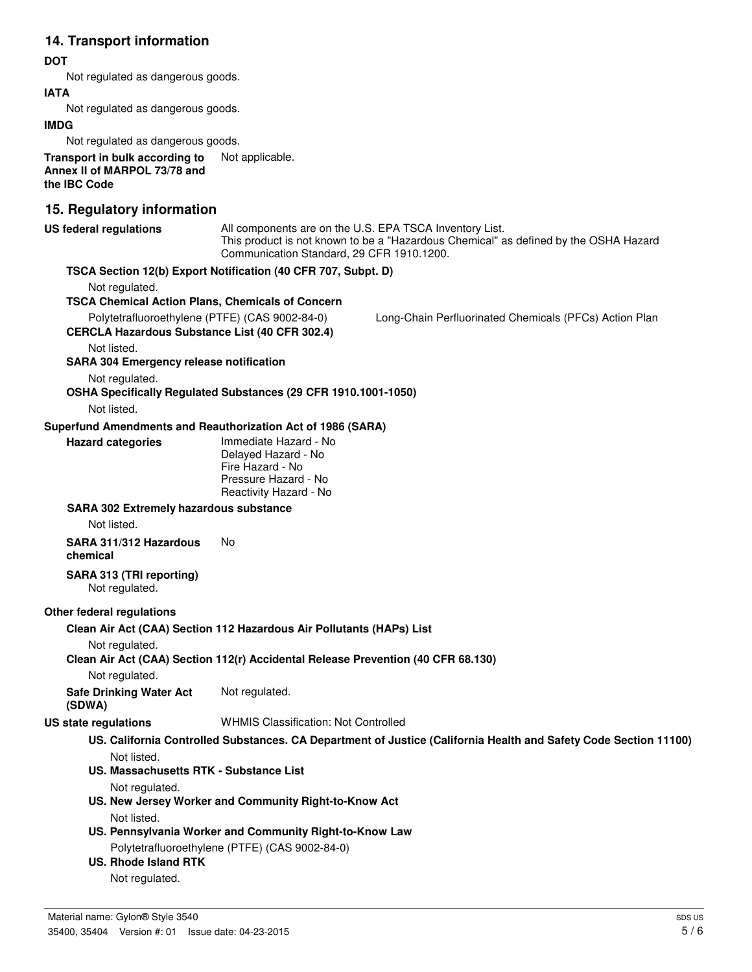# **14. Transport information**

#### **DOT**

Not regulated as dangerous goods.

#### **IATA**

Not regulated as dangerous goods.

#### **IMDG**

Not regulated as dangerous goods.

**Transport in bulk according to** Not applicable. **Annex II of MARPOL 73/78 and the IBC Code**

## **15. Regulatory information**

| <b>US federal regulations</b>                                                                           | Communication Standard, 29 CFR 1910.1200.                                                                          | All components are on the U.S. EPA TSCA Inventory List.<br>This product is not known to be a "Hazardous Chemical" as defined by the OSHA Hazard |
|---------------------------------------------------------------------------------------------------------|--------------------------------------------------------------------------------------------------------------------|-------------------------------------------------------------------------------------------------------------------------------------------------|
|                                                                                                         | TSCA Section 12(b) Export Notification (40 CFR 707, Subpt. D)                                                      |                                                                                                                                                 |
| Not regulated.                                                                                          |                                                                                                                    |                                                                                                                                                 |
| <b>TSCA Chemical Action Plans, Chemicals of Concern</b>                                                 |                                                                                                                    |                                                                                                                                                 |
| Polytetrafluoroethylene (PTFE) (CAS 9002-84-0)<br><b>CERCLA Hazardous Substance List (40 CFR 302.4)</b> |                                                                                                                    | Long-Chain Perfluorinated Chemicals (PFCs) Action Plan                                                                                          |
| Not listed.                                                                                             |                                                                                                                    |                                                                                                                                                 |
| <b>SARA 304 Emergency release notification</b>                                                          |                                                                                                                    |                                                                                                                                                 |
| Not regulated.                                                                                          |                                                                                                                    |                                                                                                                                                 |
|                                                                                                         | OSHA Specifically Regulated Substances (29 CFR 1910.1001-1050)                                                     |                                                                                                                                                 |
| Not listed.                                                                                             |                                                                                                                    |                                                                                                                                                 |
| Superfund Amendments and Reauthorization Act of 1986 (SARA)                                             |                                                                                                                    |                                                                                                                                                 |
| <b>Hazard categories</b>                                                                                | Immediate Hazard - No<br>Delayed Hazard - No<br>Fire Hazard - No<br>Pressure Hazard - No<br>Reactivity Hazard - No |                                                                                                                                                 |
| <b>SARA 302 Extremely hazardous substance</b>                                                           |                                                                                                                    |                                                                                                                                                 |
| Not listed.                                                                                             |                                                                                                                    |                                                                                                                                                 |
| SARA 311/312 Hazardous<br>chemical                                                                      | No                                                                                                                 |                                                                                                                                                 |
| SARA 313 (TRI reporting)<br>Not regulated.                                                              |                                                                                                                    |                                                                                                                                                 |
| Other federal regulations                                                                               |                                                                                                                    |                                                                                                                                                 |
|                                                                                                         | Clean Air Act (CAA) Section 112 Hazardous Air Pollutants (HAPs) List                                               |                                                                                                                                                 |
| Not regulated.                                                                                          | Clean Air Act (CAA) Section 112(r) Accidental Release Prevention (40 CFR 68.130)                                   |                                                                                                                                                 |
| Not regulated.                                                                                          |                                                                                                                    |                                                                                                                                                 |
| <b>Safe Drinking Water Act</b><br>(SDWA)                                                                | Not regulated.                                                                                                     |                                                                                                                                                 |
| US state regulations                                                                                    | <b>WHMIS Classification: Not Controlled</b>                                                                        |                                                                                                                                                 |
|                                                                                                         |                                                                                                                    | US. California Controlled Substances. CA Department of Justice (California Health and Safety Code Section 11100)                                |
|                                                                                                         |                                                                                                                    |                                                                                                                                                 |
| Not listed.<br><b>US. Massachusetts RTK - Substance List</b>                                            |                                                                                                                    |                                                                                                                                                 |
| Not regulated.                                                                                          |                                                                                                                    |                                                                                                                                                 |
|                                                                                                         | US. New Jersey Worker and Community Right-to-Know Act                                                              |                                                                                                                                                 |
| Not listed.                                                                                             |                                                                                                                    |                                                                                                                                                 |
|                                                                                                         | US. Pennsylvania Worker and Community Right-to-Know Law                                                            |                                                                                                                                                 |
|                                                                                                         | Polytetrafluoroethylene (PTFE) (CAS 9002-84-0)                                                                     |                                                                                                                                                 |
| <b>US. Rhode Island RTK</b>                                                                             |                                                                                                                    |                                                                                                                                                 |
| Not regulated.                                                                                          |                                                                                                                    |                                                                                                                                                 |